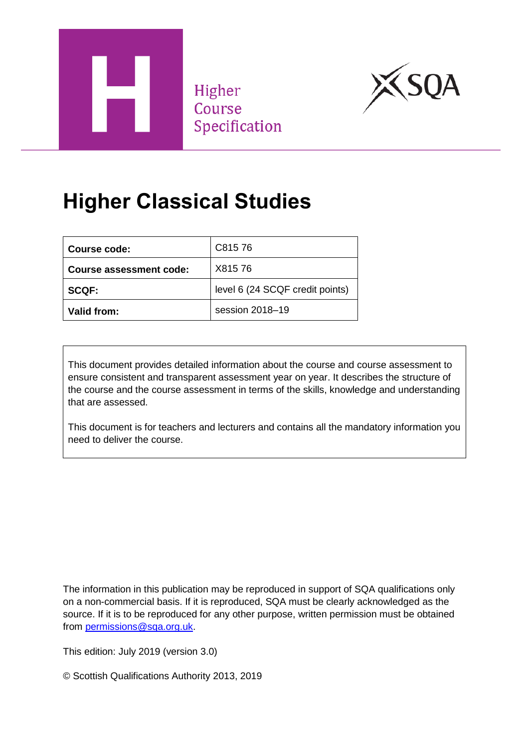

Higher Course Specification



# **Higher Classical Studies**

| Course code:            | C81576                          |
|-------------------------|---------------------------------|
| Course assessment code: | X81576                          |
| <b>SCQF:</b>            | level 6 (24 SCQF credit points) |
| Valid from:             | session 2018-19                 |

This document provides detailed information about the course and course assessment to ensure consistent and transparent assessment year on year. It describes the structure of the course and the course assessment in terms of the skills, knowledge and understanding that are assessed.

This document is for teachers and lecturers and contains all the mandatory information you need to deliver the course.

The information in this publication may be reproduced in support of SQA qualifications only on a non-commercial basis. If it is reproduced, SQA must be clearly acknowledged as the source. If it is to be reproduced for any other purpose, written permission must be obtained from [permissions@sqa.org.uk.](mailto:permissions@sqa.org.uk)

This edition: July 2019 (version 3.0)

© Scottish Qualifications Authority 2013, 2019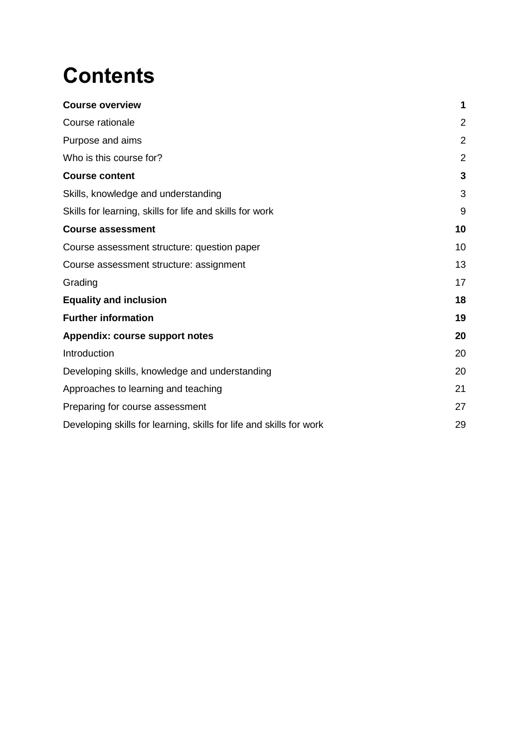# **Contents**

| <b>Course overview</b>                                              | 1              |
|---------------------------------------------------------------------|----------------|
| Course rationale                                                    | $\overline{2}$ |
| Purpose and aims                                                    | $\overline{2}$ |
| Who is this course for?                                             | $\overline{2}$ |
| <b>Course content</b>                                               | 3              |
| Skills, knowledge and understanding                                 | 3              |
| Skills for learning, skills for life and skills for work            | 9              |
| <b>Course assessment</b>                                            | 10             |
| Course assessment structure: question paper                         | 10             |
| Course assessment structure: assignment                             | 13             |
| Grading                                                             | 17             |
| <b>Equality and inclusion</b>                                       | 18             |
| <b>Further information</b>                                          | 19             |
| Appendix: course support notes                                      | 20             |
| Introduction                                                        | 20             |
| Developing skills, knowledge and understanding                      | 20             |
| Approaches to learning and teaching                                 | 21             |
| Preparing for course assessment                                     | 27             |
| Developing skills for learning, skills for life and skills for work | 29             |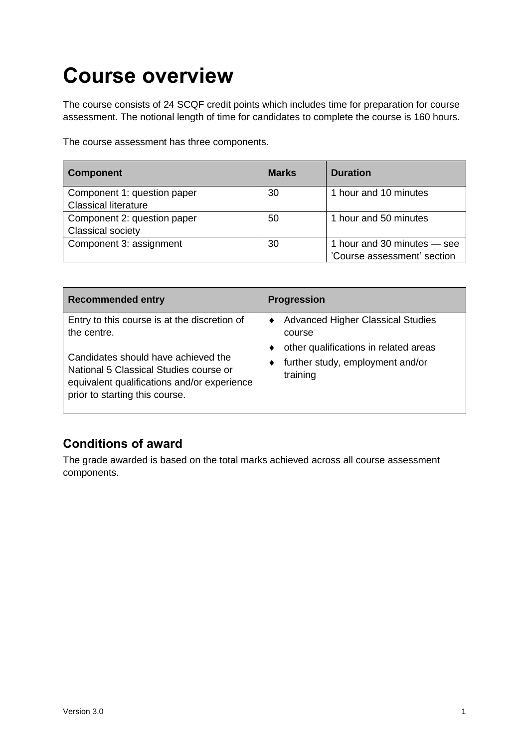# <span id="page-2-0"></span>**Course overview**

The course consists of 24 SCQF credit points which includes time for preparation for course assessment. The notional length of time for candidates to complete the course is 160 hours.

The course assessment has three components.

| <b>Component</b>                                           | <b>Marks</b> | <b>Duration</b>                                            |
|------------------------------------------------------------|--------------|------------------------------------------------------------|
| Component 1: question paper<br><b>Classical literature</b> | 30           | 1 hour and 10 minutes                                      |
| Component 2: question paper<br><b>Classical society</b>    | 50           | 1 hour and 50 minutes                                      |
| Component 3: assignment                                    | 30           | 1 hour and 30 minutes - see<br>'Course assessment' section |

| <b>Recommended entry</b>                                                                                                | <b>Progression</b>                                                                                                              |
|-------------------------------------------------------------------------------------------------------------------------|---------------------------------------------------------------------------------------------------------------------------------|
| Entry to this course is at the discretion of<br>the centre.<br>Candidates should have achieved the                      | <b>Advanced Higher Classical Studies</b><br>course<br>other qualifications in related areas<br>further study, employment and/or |
| National 5 Classical Studies course or<br>equivalent qualifications and/or experience<br>prior to starting this course. | training                                                                                                                        |

# **Conditions of award**

The grade awarded is based on the total marks achieved across all course assessment components.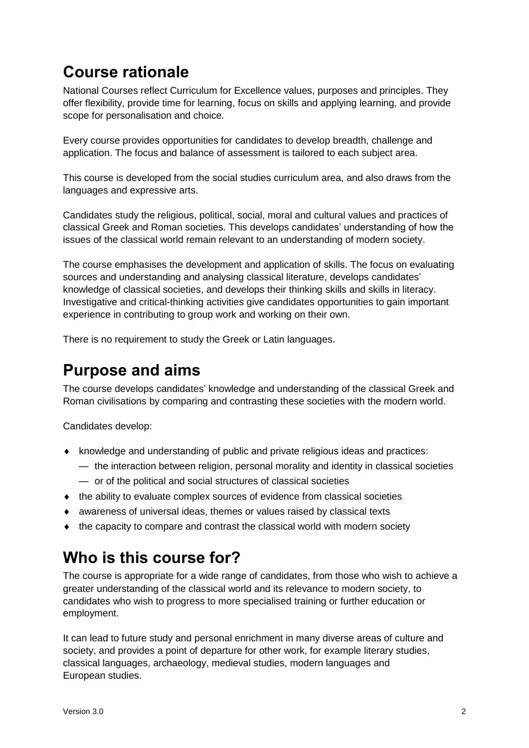# <span id="page-3-0"></span>**Course rationale**

National Courses reflect Curriculum for Excellence values, purposes and principles. They offer flexibility, provide time for learning, focus on skills and applying learning, and provide scope for personalisation and choice.

Every course provides opportunities for candidates to develop breadth, challenge and application. The focus and balance of assessment is tailored to each subject area.

This course is developed from the social studies curriculum area, and also draws from the languages and expressive arts.

Candidates study the religious, political, social, moral and cultural values and practices of classical Greek and Roman societies. This develops candidates' understanding of how the issues of the classical world remain relevant to an understanding of modern society.

The course emphasises the development and application of skills. The focus on evaluating sources and understanding and analysing classical literature, develops candidates' knowledge of classical societies, and develops their thinking skills and skills in literacy. Investigative and critical-thinking activities give candidates opportunities to gain important experience in contributing to group work and working on their own.

There is no requirement to study the Greek or Latin languages.

# <span id="page-3-1"></span>**Purpose and aims**

The course develops candidates' knowledge and understanding of the classical Greek and Roman civilisations by comparing and contrasting these societies with the modern world.

Candidates develop:

- knowledge and understanding of public and private religious ideas and practices:
	- the interaction between religion, personal morality and identity in classical societies
	- or of the political and social structures of classical societies
- the ability to evaluate complex sources of evidence from classical societies
- awareness of universal ideas, themes or values raised by classical texts
- the capacity to compare and contrast the classical world with modern society

# <span id="page-3-2"></span>**Who is this course for?**

The course is appropriate for a wide range of candidates, from those who wish to achieve a greater understanding of the classical world and its relevance to modern society, to candidates who wish to progress to more specialised training or further education or employment.

It can lead to future study and personal enrichment in many diverse areas of culture and society, and provides a point of departure for other work, for example literary studies, classical languages, archaeology, medieval studies, modern languages and European studies.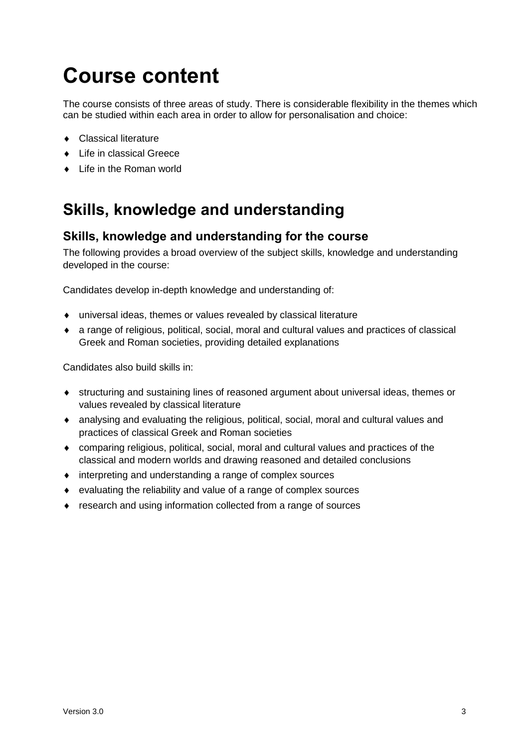# <span id="page-4-0"></span>**Course content**

The course consists of three areas of study. There is considerable flexibility in the themes which can be studied within each area in order to allow for personalisation and choice:

- ◆ Classical literature
- ◆ Life in classical Greece
- ◆ Life in the Roman world

# <span id="page-4-1"></span>**Skills, knowledge and understanding**

# **Skills, knowledge and understanding for the course**

The following provides a broad overview of the subject skills, knowledge and understanding developed in the course:

Candidates develop in-depth knowledge and understanding of:

- universal ideas, themes or values revealed by classical literature
- a range of religious, political, social, moral and cultural values and practices of classical Greek and Roman societies, providing detailed explanations

Candidates also build skills in:

- structuring and sustaining lines of reasoned argument about universal ideas, themes or values revealed by classical literature
- analysing and evaluating the religious, political, social, moral and cultural values and practices of classical Greek and Roman societies
- comparing religious, political, social, moral and cultural values and practices of the classical and modern worlds and drawing reasoned and detailed conclusions
- interpreting and understanding a range of complex sources
- evaluating the reliability and value of a range of complex sources
- research and using information collected from a range of sources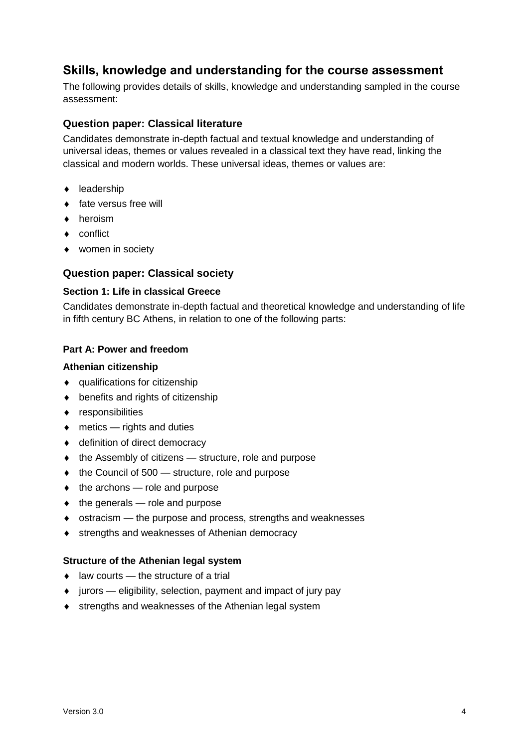# **Skills, knowledge and understanding for the course assessment**

The following provides details of skills, knowledge and understanding sampled in the course assessment:

# **Question paper: Classical literature**

Candidates demonstrate in-depth factual and textual knowledge and understanding of universal ideas, themes or values revealed in a classical text they have read, linking the classical and modern worlds. These universal ideas, themes or values are:

- $\bullet$  leadership
- fate versus free will
- ◆ heroism
- ◆ conflict
- women in society

# **Question paper: Classical society**

#### **Section 1: Life in classical Greece**

Candidates demonstrate in-depth factual and theoretical knowledge and understanding of life in fifth century BC Athens, in relation to one of the following parts:

# **Part A: Power and freedom**

#### **Athenian citizenship**

- qualifications for citizenship
- ◆ benefits and rights of citizenship
- responsibilities
- ◆ metics rights and duties
- ◆ definition of direct democracy
- $\bullet$  the Assembly of citizens  $-$  structure, role and purpose
- $\bullet$  the Council of 500 structure, role and purpose
- $\bullet$  the archons role and purpose
- $\bullet$  the generals role and purpose
- ostracism the purpose and process, strengths and weaknesses
- ◆ strengths and weaknesses of Athenian democracy

#### **Structure of the Athenian legal system**

- $\bullet$  law courts the structure of a trial
- $\bullet$  jurors eligibility, selection, payment and impact of jury pay
- **\*** strengths and weaknesses of the Athenian legal system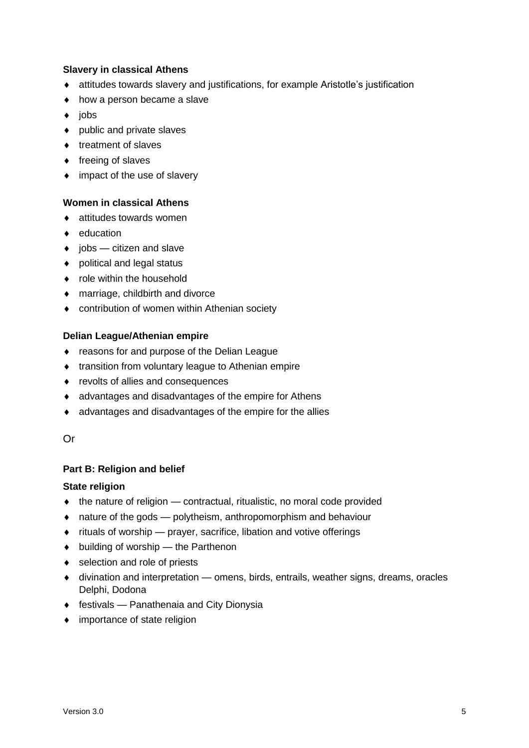# **Slavery in classical Athens**

- attitudes towards slavery and justifications, for example Aristotle's justification
- how a person became a slave
- $\bullet$  jobs
- public and private slaves
- $\triangleleft$  treatment of slaves
- $\bullet$  freeing of slaves
- impact of the use of slavery

# **Women in classical Athens**

- attitudes towards women
- $\bullet$  education
- $\bullet$  jobs citizen and slave
- ◆ political and legal status
- role within the household
- marriage, childbirth and divorce
- contribution of women within Athenian society

# **Delian League/Athenian empire**

- ◆ reasons for and purpose of the Delian League
- ◆ transition from voluntary league to Athenian empire
- ◆ revolts of allies and consequences
- advantages and disadvantages of the empire for Athens
- advantages and disadvantages of the empire for the allies

#### Or

# **Part B: Religion and belief**

#### **State religion**

- $\bullet$  the nature of religion contractual, ritualistic, no moral code provided
- nature of the gods polytheism, anthropomorphism and behaviour
- $\bullet$  rituals of worship prayer, sacrifice, libation and votive offerings
- $\bullet$  building of worship the Parthenon
- ◆ selection and role of priests
- divination and interpretation omens, birds, entrails, weather signs, dreams, oracles Delphi, Dodona
- festivals Panathenaia and City Dionysia
- importance of state religion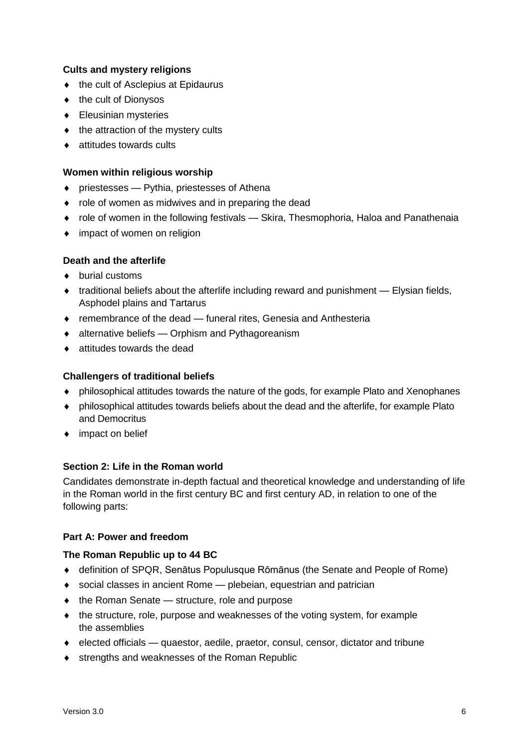# **Cults and mystery religions**

- $\bullet$  the cult of Asclepius at Epidaurus
- ◆ the cult of Dionysos
- ◆ Eleusinian mysteries
- $\bullet$  the attraction of the mystery cults
- attitudes towards cults

# **Women within religious worship**

- priestesses Pythia, priestesses of Athena
- role of women as midwives and in preparing the dead
- role of women in the following festivals Skira, Thesmophoria, Haloa and Panathenaia
- impact of women on religion

# **Death and the afterlife**

- ◆ burial customs
- $\bullet$  traditional beliefs about the afterlife including reward and punishment  $-$  Elysian fields, Asphodel plains and Tartarus
- remembrance of the dead funeral rites, Genesia and Anthesteria
- alternative beliefs Orphism and Pythagoreanism
- attitudes towards the dead

# **Challengers of traditional beliefs**

- philosophical attitudes towards the nature of the gods, for example Plato and Xenophanes
- philosophical attitudes towards beliefs about the dead and the afterlife, for example Plato and Democritus
- ◆ impact on belief

# **Section 2: Life in the Roman world**

Candidates demonstrate in-depth factual and theoretical knowledge and understanding of life in the Roman world in the first century BC and first century AD, in relation to one of the following parts:

# **Part A: Power and freedom**

# **The Roman Republic up to 44 BC**

- definition of SPQR, Senātus Populusque Rōmānus (the Senate and People of Rome)
- social classes in ancient Rome plebeian, equestrian and patrician
- $\bullet$  the Roman Senate structure, role and purpose
- the structure, role, purpose and weaknesses of the voting system, for example the assemblies
- elected officials quaestor, aedile, praetor, consul, censor, dictator and tribune
- ◆ strengths and weaknesses of the Roman Republic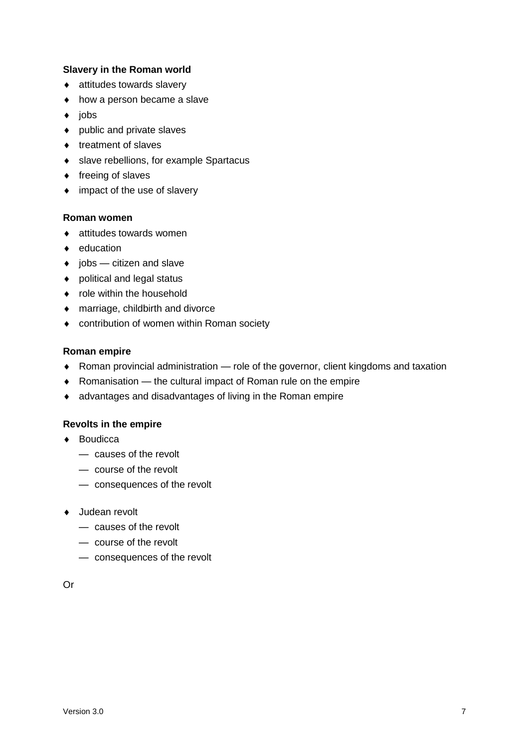# **Slavery in the Roman world**

- attitudes towards slavery
- how a person became a slave
- $\bullet$  jobs
- public and private slaves
- $\bullet$  treatment of slaves
- slave rebellions, for example Spartacus
- $\triangleleft$  freeing of slaves
- $\bullet$  impact of the use of slavery

#### **Roman women**

- attitudes towards women
- $\bullet$  education
- $\bullet$  jobs citizen and slave
- ◆ political and legal status
- role within the household
- marriage, childbirth and divorce
- contribution of women within Roman society

#### **Roman empire**

- Roman provincial administration role of the governor, client kingdoms and taxation
- Romanisation the cultural impact of Roman rule on the empire
- advantages and disadvantages of living in the Roman empire

#### **Revolts in the empire**

- ◆ Boudicca
	- causes of the revolt
	- course of the revolt
	- consequences of the revolt
- ◆ Judean revolt
	- causes of the revolt
	- course of the revolt
	- consequences of the revolt

Or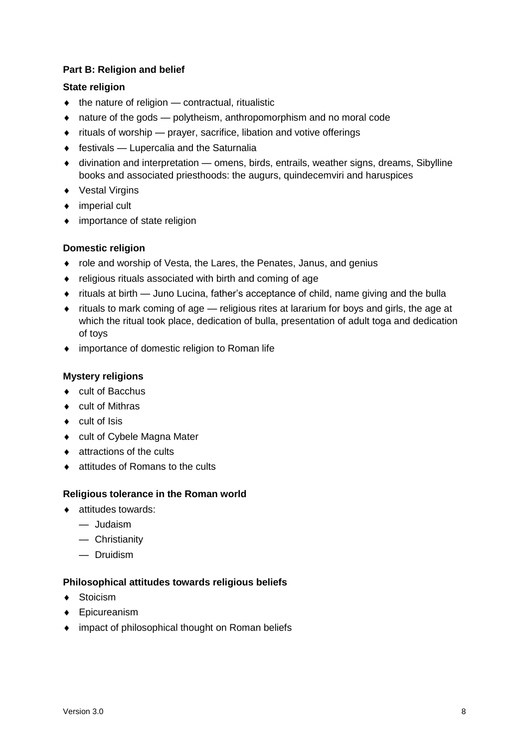# **Part B: Religion and belief**

# **State religion**

- $\bullet$  the nature of religion contractual, ritualistic
- nature of the gods polytheism, anthropomorphism and no moral code
- rituals of worship prayer, sacrifice, libation and votive offerings
- $\bullet$  festivals Lupercalia and the Saturnalia
- divination and interpretation omens, birds, entrails, weather signs, dreams, Sibylline books and associated priesthoods: the augurs, quindecemviri and haruspices
- ◆ Vestal Virgins
- ◆ imperial cult
- importance of state religion

# **Domestic religion**

- role and worship of Vesta, the Lares, the Penates, Janus, and genius
- religious rituals associated with birth and coming of age
- rituals at birth Juno Lucina, father's acceptance of child, name giving and the bulla
- rituals to mark coming of age religious rites at lararium for boys and girls, the age at which the ritual took place, dedication of bulla, presentation of adult toga and dedication of toys
- ◆ importance of domestic religion to Roman life

# **Mystery religions**

- ◆ cult of Bacchus
- ◆ cult of Mithras
- $\bullet$  cult of Isis
- ◆ cult of Cybele Magna Mater
- ◆ attractions of the cults
- ◆ attitudes of Romans to the cults

# **Religious tolerance in the Roman world**

- ◆ attitudes towards:
	- Judaism
	- Christianity
	- Druidism

# **Philosophical attitudes towards religious beliefs**

- ◆ Stoicism
- Epicureanism
- ◆ impact of philosophical thought on Roman beliefs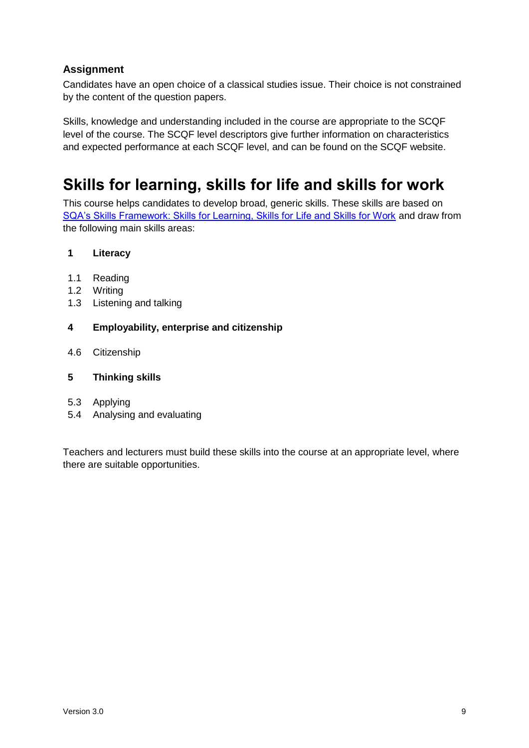# **Assignment**

Candidates have an open choice of a classical studies issue. Their choice is not constrained by the content of the question papers.

Skills, knowledge and understanding included in the course are appropriate to the SCQF level of the course. The SCQF level descriptors give further information on characteristics and expected performance at each SCQF level, and can be found on the SCQF website.

# <span id="page-10-0"></span>**Skills for learning, skills for life and skills for work**

This course helps candidates to develop broad, generic skills. These skills are based on [SQA's Skills Framework: Skills for Learning, Skills for Life and Skills for Work](http://www.sqa.org.uk/sqa/63101.html) and draw from the following main skills areas:

# **1 Literacy**

- 1.1 Reading
- 1.2 Writing
- 1.3 Listening and talking

# **4 Employability, enterprise and citizenship**

4.6 Citizenship

# **5 Thinking skills**

- 5.3 Applying
- 5.4 Analysing and evaluating

Teachers and lecturers must build these skills into the course at an appropriate level, where there are suitable opportunities.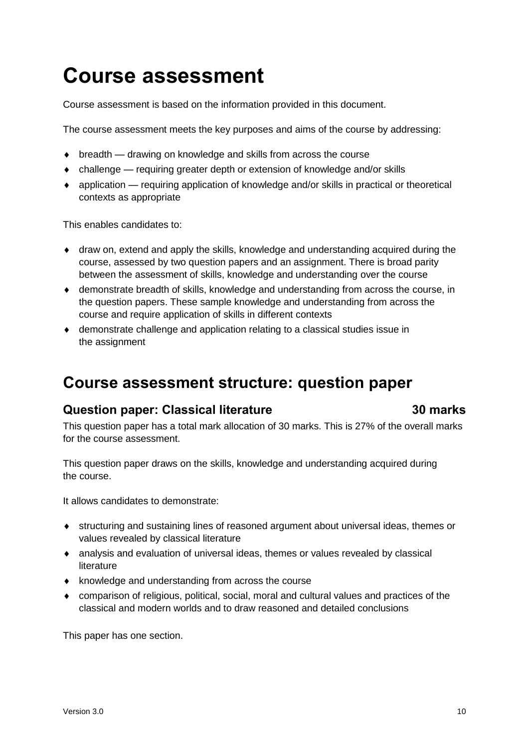# <span id="page-11-0"></span>**Course assessment**

Course assessment is based on the information provided in this document.

The course assessment meets the key purposes and aims of the course by addressing:

- breadth drawing on knowledge and skills from across the course
- challenge requiring greater depth or extension of knowledge and/or skills
- application requiring application of knowledge and/or skills in practical or theoretical contexts as appropriate

This enables candidates to:

- draw on, extend and apply the skills, knowledge and understanding acquired during the course, assessed by two question papers and an assignment. There is broad parity between the assessment of skills, knowledge and understanding over the course
- demonstrate breadth of skills, knowledge and understanding from across the course, in the question papers. These sample knowledge and understanding from across the course and require application of skills in different contexts
- demonstrate challenge and application relating to a classical studies issue in the assignment

# <span id="page-11-1"></span>**Course assessment structure: question paper**

# **Question paper: Classical literature 30 marks**

This question paper has a total mark allocation of 30 marks. This is 27% of the overall marks for the course assessment.

This question paper draws on the skills, knowledge and understanding acquired during the course.

It allows candidates to demonstrate:

- structuring and sustaining lines of reasoned argument about universal ideas, themes or values revealed by classical literature
- analysis and evaluation of universal ideas, themes or values revealed by classical literature
- $\bullet$  knowledge and understanding from across the course
- comparison of religious, political, social, moral and cultural values and practices of the classical and modern worlds and to draw reasoned and detailed conclusions

This paper has one section.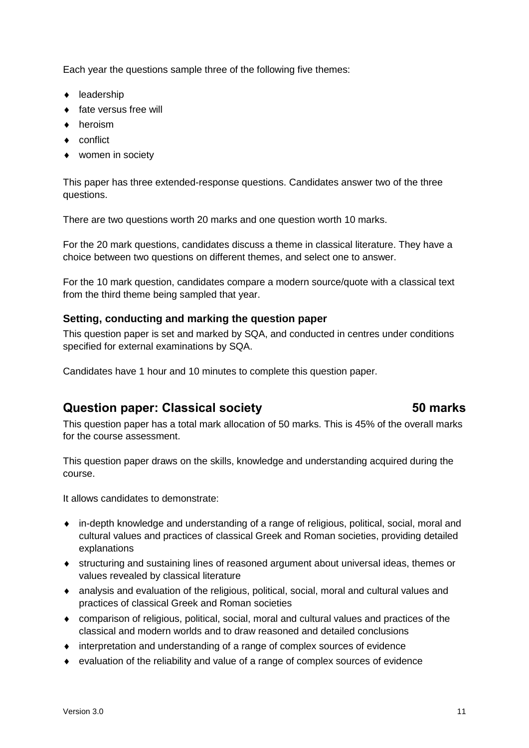Each year the questions sample three of the following five themes:

- $\leftarrow$  leadership
- $\bullet$  fate versus free will
- **+** heroism
- ◆ conflict
- women in society

This paper has three extended-response questions. Candidates answer two of the three questions.

There are two questions worth 20 marks and one question worth 10 marks.

For the 20 mark questions, candidates discuss a theme in classical literature. They have a choice between two questions on different themes, and select one to answer.

For the 10 mark question, candidates compare a modern source/quote with a classical text from the third theme being sampled that year.

# **Setting, conducting and marking the question paper**

This question paper is set and marked by SQA, and conducted in centres under conditions specified for external examinations by SQA.

Candidates have 1 hour and 10 minutes to complete this question paper.

# **Question paper: Classical society 50 marks**

This question paper has a total mark allocation of 50 marks. This is 45% of the overall marks for the course assessment.

This question paper draws on the skills, knowledge and understanding acquired during the course.

It allows candidates to demonstrate:

- in-depth knowledge and understanding of a range of religious, political, social, moral and cultural values and practices of classical Greek and Roman societies, providing detailed explanations
- structuring and sustaining lines of reasoned argument about universal ideas, themes or values revealed by classical literature
- analysis and evaluation of the religious, political, social, moral and cultural values and practices of classical Greek and Roman societies
- comparison of religious, political, social, moral and cultural values and practices of the classical and modern worlds and to draw reasoned and detailed conclusions
- interpretation and understanding of a range of complex sources of evidence
- evaluation of the reliability and value of a range of complex sources of evidence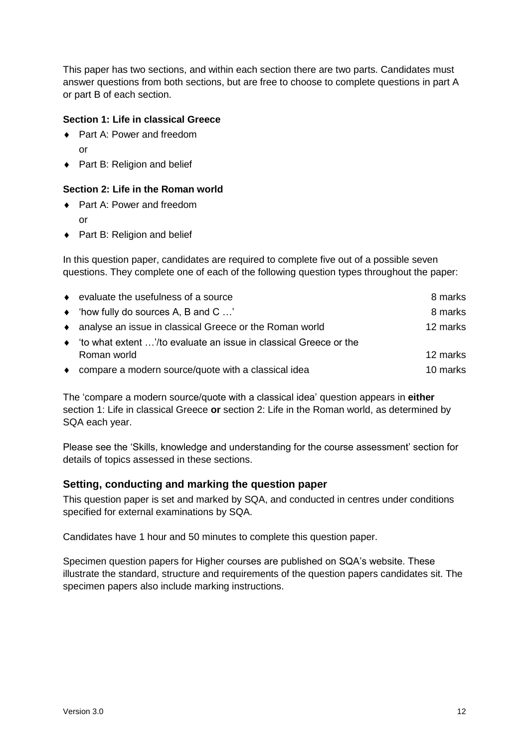This paper has two sections, and within each section there are two parts. Candidates must answer questions from both sections, but are free to choose to complete questions in part A or part B of each section.

# **Section 1: Life in classical Greece**

- ◆ Part A: Power and freedom or
- ◆ Part B: Religion and belief

# **Section 2: Life in the Roman world**

- ◆ Part A: Power and freedom or
- ◆ Part B: Religion and belief

In this question paper, candidates are required to complete five out of a possible seven questions. They complete one of each of the following question types throughout the paper:

| • evaluate the usefulness of a source                               | 8 marks  |
|---------------------------------------------------------------------|----------|
| $\bullet$ 'how fully do sources A, B and C '                        | 8 marks  |
| • analyse an issue in classical Greece or the Roman world           | 12 marks |
| • 'to what extent '/to evaluate an issue in classical Greece or the |          |
| Roman world                                                         | 12 marks |
| • compare a modern source/quote with a classical idea               | 10 marks |

The 'compare a modern source/quote with a classical idea' question appears in **either** section 1: Life in classical Greece **or** section 2: Life in the Roman world, as determined by SQA each year.

Please see the 'Skills, knowledge and understanding for the course assessment' section for details of topics assessed in these sections.

# **Setting, conducting and marking the question paper**

This question paper is set and marked by SQA, and conducted in centres under conditions specified for external examinations by SQA.

Candidates have 1 hour and 50 minutes to complete this question paper.

Specimen question papers for Higher courses are published on SQA's website. These illustrate the standard, structure and requirements of the question papers candidates sit. The specimen papers also include marking instructions.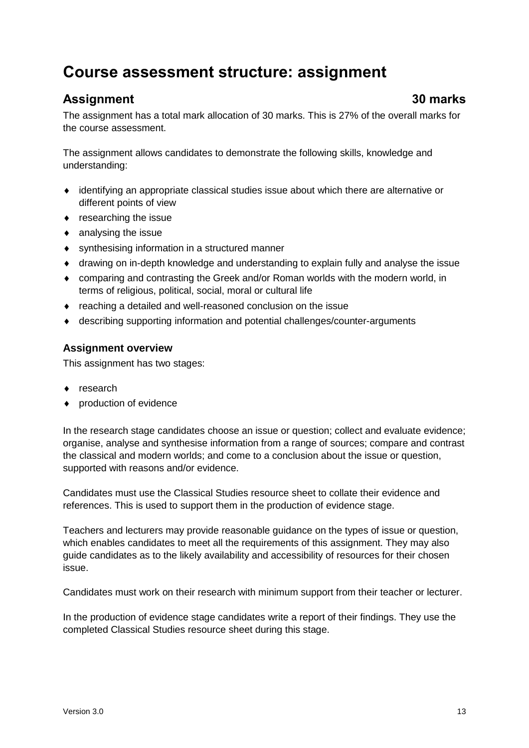# <span id="page-14-0"></span>**Course assessment structure: assignment**

# **Assignment 30 marks**

The assignment has a total mark allocation of 30 marks. This is 27% of the overall marks for the course assessment.

The assignment allows candidates to demonstrate the following skills, knowledge and understanding:

- identifying an appropriate classical studies issue about which there are alternative or different points of view
- researching the issue
- analysing the issue
- synthesising information in a structured manner
- drawing on in-depth knowledge and understanding to explain fully and analyse the issue
- comparing and contrasting the Greek and/or Roman worlds with the modern world, in terms of religious, political, social, moral or cultural life
- reaching a detailed and well-reasoned conclusion on the issue
- describing supporting information and potential challenges/counter-arguments

# **Assignment overview**

This assignment has two stages:

- ◆ research
- production of evidence

In the research stage candidates choose an issue or question; collect and evaluate evidence; organise, analyse and synthesise information from a range of sources; compare and contrast the classical and modern worlds; and come to a conclusion about the issue or question, supported with reasons and/or evidence.

Candidates must use the Classical Studies resource sheet to collate their evidence and references. This is used to support them in the production of evidence stage.

Teachers and lecturers may provide reasonable guidance on the types of issue or question, which enables candidates to meet all the requirements of this assignment. They may also guide candidates as to the likely availability and accessibility of resources for their chosen issue.

Candidates must work on their research with minimum support from their teacher or lecturer.

In the production of evidence stage candidates write a report of their findings. They use the completed Classical Studies resource sheet during this stage.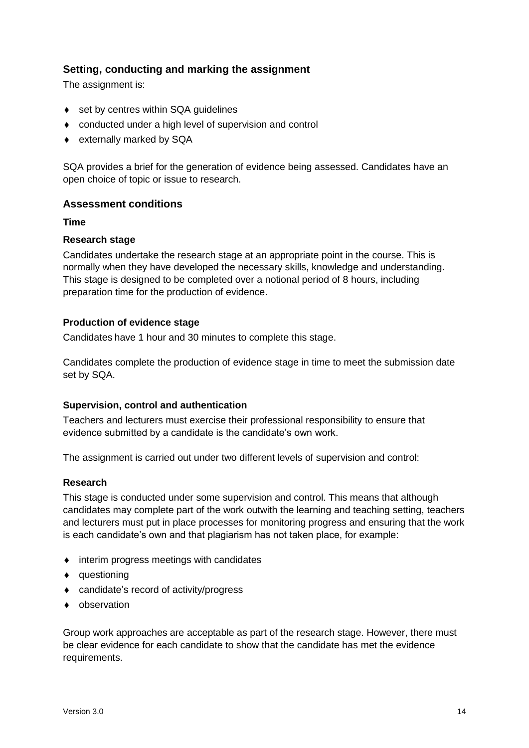# **Setting, conducting and marking the assignment**

The assignment is:

- ◆ set by centres within SQA quidelines
- conducted under a high level of supervision and control
- externally marked by SQA

SQA provides a brief for the generation of evidence being assessed. Candidates have an open choice of topic or issue to research.

# **Assessment conditions**

**Time**

# **Research stage**

Candidates undertake the research stage at an appropriate point in the course. This is normally when they have developed the necessary skills, knowledge and understanding. This stage is designed to be completed over a notional period of 8 hours, including preparation time for the production of evidence.

# **Production of evidence stage**

Candidates have 1 hour and 30 minutes to complete this stage.

Candidates complete the production of evidence stage in time to meet the submission date set by SQA.

# **Supervision, control and authentication**

Teachers and lecturers must exercise their professional responsibility to ensure that evidence submitted by a candidate is the candidate's own work.

The assignment is carried out under two different levels of supervision and control:

# **Research**

This stage is conducted under some supervision and control. This means that although candidates may complete part of the work outwith the learning and teaching setting, teachers and lecturers must put in place processes for monitoring progress and ensuring that the work is each candidate's own and that plagiarism has not taken place, for example:

- $\bullet$  interim progress meetings with candidates
- questioning
- candidate's record of activity/progress
- observation

Group work approaches are acceptable as part of the research stage. However, there must be clear evidence for each candidate to show that the candidate has met the evidence requirements.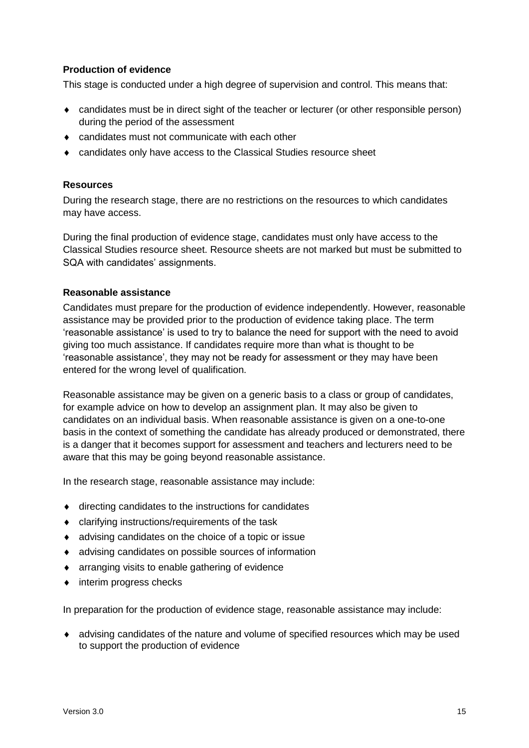# **Production of evidence**

This stage is conducted under a high degree of supervision and control. This means that:

- candidates must be in direct sight of the teacher or lecturer (or other responsible person) during the period of the assessment
- candidates must not communicate with each other
- candidates only have access to the Classical Studies resource sheet

#### **Resources**

During the research stage, there are no restrictions on the resources to which candidates may have access.

During the final production of evidence stage, candidates must only have access to the Classical Studies resource sheet. Resource sheets are not marked but must be submitted to SQA with candidates' assignments.

#### **Reasonable assistance**

Candidates must prepare for the production of evidence independently. However, reasonable assistance may be provided prior to the production of evidence taking place. The term 'reasonable assistance' is used to try to balance the need for support with the need to avoid giving too much assistance. If candidates require more than what is thought to be 'reasonable assistance', they may not be ready for assessment or they may have been entered for the wrong level of qualification.

Reasonable assistance may be given on a generic basis to a class or group of candidates, for example advice on how to develop an assignment plan. It may also be given to candidates on an individual basis. When reasonable assistance is given on a one-to-one basis in the context of something the candidate has already produced or demonstrated, there is a danger that it becomes support for assessment and teachers and lecturers need to be aware that this may be going beyond reasonable assistance.

In the research stage, reasonable assistance may include:

- $\bullet$  directing candidates to the instructions for candidates
- clarifying instructions/requirements of the task
- advising candidates on the choice of a topic or issue
- advising candidates on possible sources of information
- arranging visits to enable gathering of evidence
- $\bullet$  interim progress checks

In preparation for the production of evidence stage, reasonable assistance may include:

 advising candidates of the nature and volume of specified resources which may be used to support the production of evidence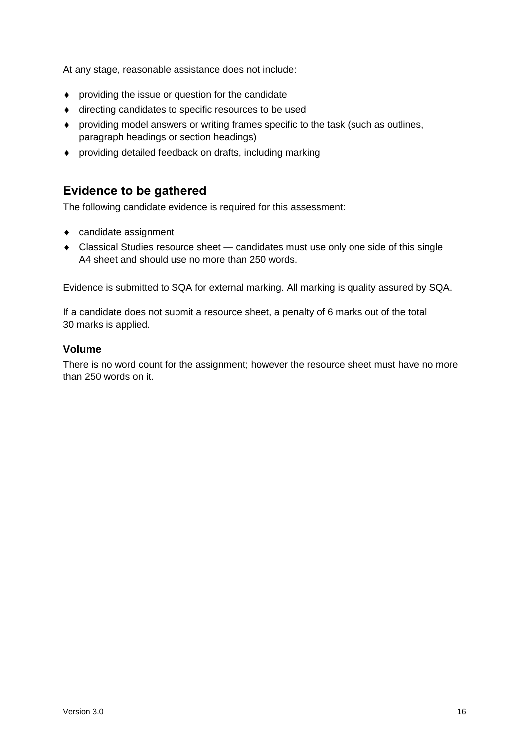At any stage, reasonable assistance does not include:

- providing the issue or question for the candidate
- directing candidates to specific resources to be used
- providing model answers or writing frames specific to the task (such as outlines, paragraph headings or section headings)
- providing detailed feedback on drafts, including marking

# **Evidence to be gathered**

The following candidate evidence is required for this assessment:

- candidate assignment
- Classical Studies resource sheet candidates must use only one side of this single A4 sheet and should use no more than 250 words.

Evidence is submitted to SQA for external marking. All marking is quality assured by SQA.

If a candidate does not submit a resource sheet, a penalty of 6 marks out of the total 30 marks is applied.

# **Volume**

There is no word count for the assignment; however the resource sheet must have no more than 250 words on it.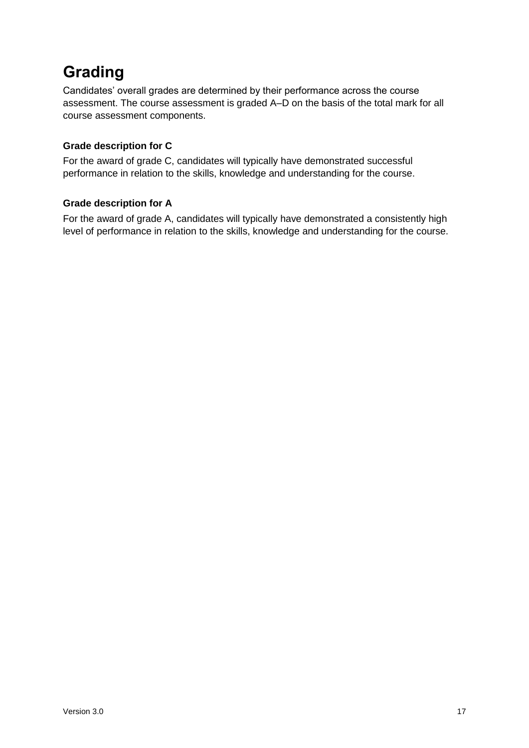# <span id="page-18-0"></span>**Grading**

Candidates' overall grades are determined by their performance across the course assessment. The course assessment is graded A–D on the basis of the total mark for all course assessment components.

# **Grade description for C**

For the award of grade C, candidates will typically have demonstrated successful performance in relation to the skills, knowledge and understanding for the course.

# **Grade description for A**

For the award of grade A, candidates will typically have demonstrated a consistently high level of performance in relation to the skills, knowledge and understanding for the course.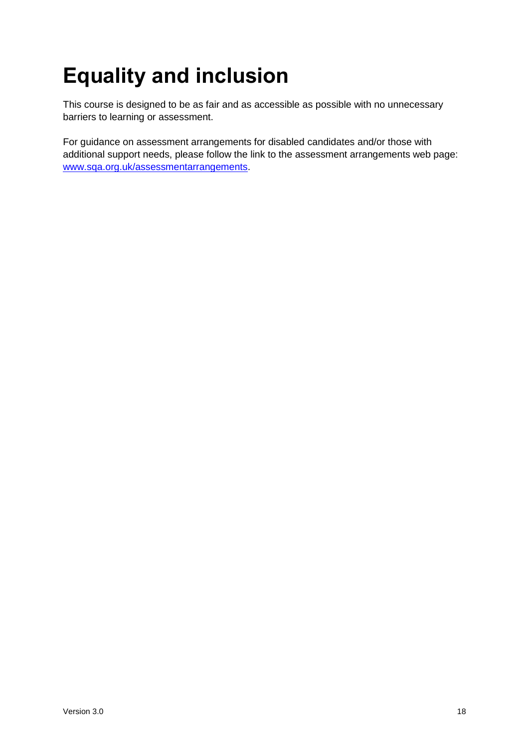# <span id="page-19-0"></span>**Equality and inclusion**

This course is designed to be as fair and as accessible as possible with no unnecessary barriers to learning or assessment.

For guidance on assessment arrangements for disabled candidates and/or those with additional support needs, please follow the link to the assessment arrangements web page: [www.sqa.org.uk/assessmentarrangements.](http://www.sqa.org.uk/assessmentarrangements)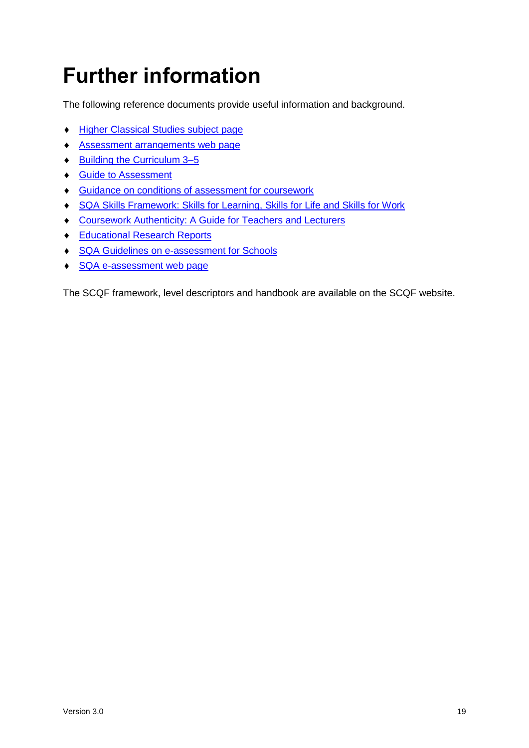# <span id="page-20-0"></span>**Further information**

The following reference documents provide useful information and background.

- **+ Higher [Classical Studies](https://www.sqa.org.uk/sqa/47921.html) subject page**
- [Assessment arrangements web page](http://www.sqa.org.uk/assessmentarrangements)
- ◆ Building the Curriculum 3-5
- ◆ [Guide to Assessment](http://www.sqa.org.uk/sqa/2424.html)
- Guidance on conditions of [assessment for coursework](http://www.sqa.org.uk/sqa/files_ccc/Guidance_on_conditions_of_assessment_for_coursework.pdf)
- [SQA Skills Framework: Skills for Learning, Skills for Life and Skills for Work](http://www.sqa.org.uk/sqa/63101.html)
- [Coursework Authenticity: A Guide for Teachers and Lecturers](http://www.sqa.org.uk/sqa/1418.html)
- ◆ [Educational Research Reports](http://www.sqa.org.uk/sqa/35847.958.html)
- ◆ [SQA Guidelines on e-assessment for Schools](http://www.sqa.org.uk/sqa/2424.html)
- ◆ [SQA e-assessment web page](http://www.sqa.org.uk/sqa/68750.html)

The SCQF framework, level descriptors and handbook are available on the SCQF website.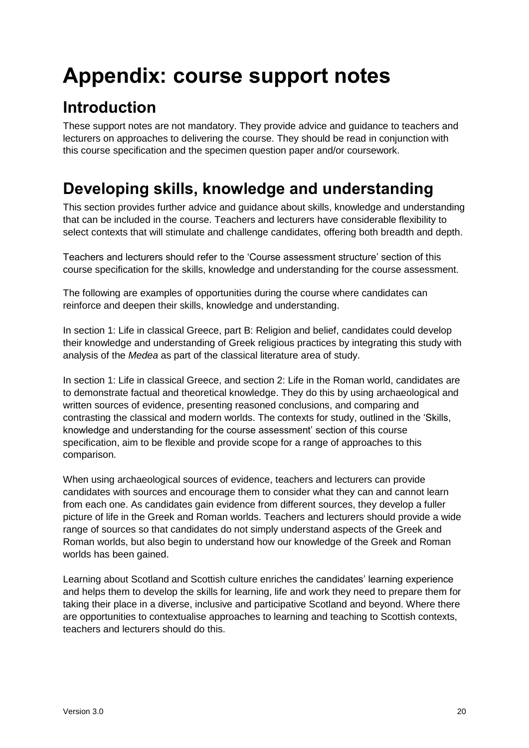# <span id="page-21-0"></span>**Appendix: course support notes**

# <span id="page-21-1"></span>**Introduction**

These support notes are not mandatory. They provide advice and guidance to teachers and lecturers on approaches to delivering the course. They should be read in conjunction with this course specification and the specimen question paper and/or coursework.

# <span id="page-21-2"></span>**Developing skills, knowledge and understanding**

This section provides further advice and guidance about skills, knowledge and understanding that can be included in the course. Teachers and lecturers have considerable flexibility to select contexts that will stimulate and challenge candidates, offering both breadth and depth.

Teachers and lecturers should refer to the 'Course assessment structure' section of this course specification for the skills, knowledge and understanding for the course assessment.

The following are examples of opportunities during the course where candidates can reinforce and deepen their skills, knowledge and understanding.

In section 1: Life in classical Greece, part B: Religion and belief, candidates could develop their knowledge and understanding of Greek religious practices by integrating this study with analysis of the *Medea* as part of the classical literature area of study.

In section 1: Life in classical Greece, and section 2: Life in the Roman world, candidates are to demonstrate factual and theoretical knowledge. They do this by using archaeological and written sources of evidence, presenting reasoned conclusions, and comparing and contrasting the classical and modern worlds. The contexts for study, outlined in the 'Skills, knowledge and understanding for the course assessment' section of this course specification, aim to be flexible and provide scope for a range of approaches to this comparison.

When using archaeological sources of evidence, teachers and lecturers can provide candidates with sources and encourage them to consider what they can and cannot learn from each one. As candidates gain evidence from different sources, they develop a fuller picture of life in the Greek and Roman worlds. Teachers and lecturers should provide a wide range of sources so that candidates do not simply understand aspects of the Greek and Roman worlds, but also begin to understand how our knowledge of the Greek and Roman worlds has been gained.

Learning about Scotland and Scottish culture enriches the candidates' learning experience and helps them to develop the skills for learning, life and work they need to prepare them for taking their place in a diverse, inclusive and participative Scotland and beyond. Where there are opportunities to contextualise approaches to learning and teaching to Scottish contexts, teachers and lecturers should do this.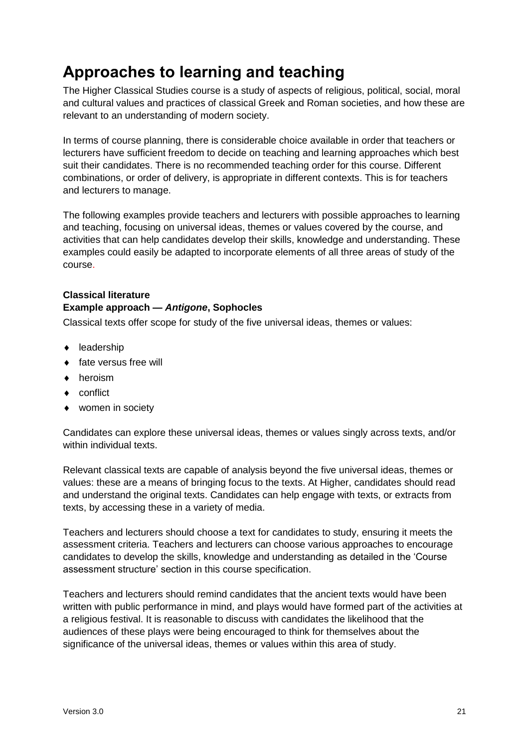# <span id="page-22-0"></span>**Approaches to learning and teaching**

The Higher Classical Studies course is a study of aspects of religious, political, social, moral and cultural values and practices of classical Greek and Roman societies, and how these are relevant to an understanding of modern society.

In terms of course planning, there is considerable choice available in order that teachers or lecturers have sufficient freedom to decide on teaching and learning approaches which best suit their candidates. There is no recommended teaching order for this course. Different combinations, or order of delivery, is appropriate in different contexts. This is for teachers and lecturers to manage.

The following examples provide teachers and lecturers with possible approaches to learning and teaching, focusing on universal ideas, themes or values covered by the course, and activities that can help candidates develop their skills, knowledge and understanding. These examples could easily be adapted to incorporate elements of all three areas of study of the course.

# **Classical literature Example approach —** *Antigone***, Sophocles**

Classical texts offer scope for study of the five universal ideas, themes or values:

- ◆ leadership
- ◆ fate versus free will
- **+** heroism
- ◆ conflict
- women in society

Candidates can explore these universal ideas, themes or values singly across texts, and/or within individual texts.

Relevant classical texts are capable of analysis beyond the five universal ideas, themes or values: these are a means of bringing focus to the texts. At Higher, candidates should read and understand the original texts. Candidates can help engage with texts, or extracts from texts, by accessing these in a variety of media.

Teachers and lecturers should choose a text for candidates to study, ensuring it meets the assessment criteria. Teachers and lecturers can choose various approaches to encourage candidates to develop the skills, knowledge and understanding as detailed in the 'Course assessment structure' section in this course specification.

Teachers and lecturers should remind candidates that the ancient texts would have been written with public performance in mind, and plays would have formed part of the activities at a religious festival. It is reasonable to discuss with candidates the likelihood that the audiences of these plays were being encouraged to think for themselves about the significance of the universal ideas, themes or values within this area of study.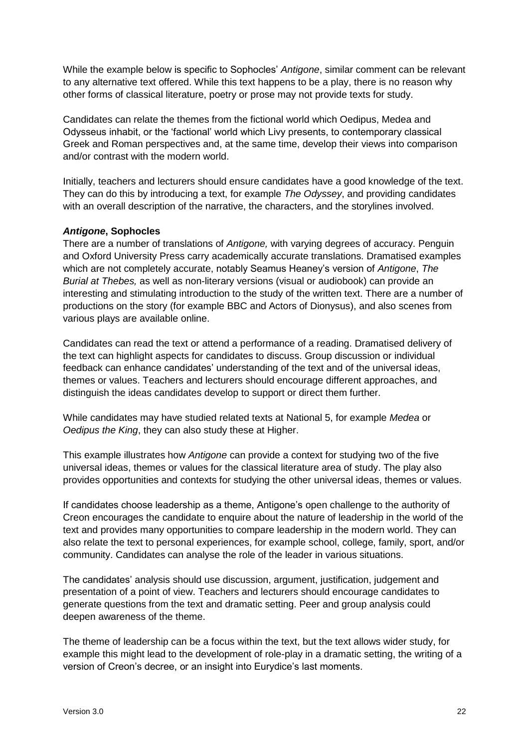While the example below is specific to Sophocles' *Antigone*, similar comment can be relevant to any alternative text offered. While this text happens to be a play, there is no reason why other forms of classical literature, poetry or prose may not provide texts for study.

Candidates can relate the themes from the fictional world which Oedipus, Medea and Odysseus inhabit, or the 'factional' world which Livy presents, to contemporary classical Greek and Roman perspectives and, at the same time, develop their views into comparison and/or contrast with the modern world.

Initially, teachers and lecturers should ensure candidates have a good knowledge of the text. They can do this by introducing a text, for example *The Odyssey*, and providing candidates with an overall description of the narrative, the characters, and the storylines involved.

# *Antigone***, Sophocles**

There are a number of translations of *Antigone,* with varying degrees of accuracy. Penguin and Oxford University Press carry academically accurate translations. Dramatised examples which are not completely accurate, notably Seamus Heaney's version of *Antigone*, *The Burial at Thebes,* as well as non-literary versions (visual or audiobook) can provide an interesting and stimulating introduction to the study of the written text. There are a number of productions on the story (for example BBC and Actors of Dionysus), and also scenes from various plays are available online.

Candidates can read the text or attend a performance of a reading. Dramatised delivery of the text can highlight aspects for candidates to discuss. Group discussion or individual feedback can enhance candidates' understanding of the text and of the universal ideas, themes or values. Teachers and lecturers should encourage different approaches, and distinguish the ideas candidates develop to support or direct them further.

While candidates may have studied related texts at National 5, for example *Medea* or *Oedipus the King*, they can also study these at Higher.

This example illustrates how *Antigone* can provide a context for studying two of the five universal ideas, themes or values for the classical literature area of study. The play also provides opportunities and contexts for studying the other universal ideas, themes or values.

If candidates choose leadership as a theme, Antigone's open challenge to the authority of Creon encourages the candidate to enquire about the nature of leadership in the world of the text and provides many opportunities to compare leadership in the modern world. They can also relate the text to personal experiences, for example school, college, family, sport, and/or community. Candidates can analyse the role of the leader in various situations.

The candidates' analysis should use discussion, argument, justification, judgement and presentation of a point of view. Teachers and lecturers should encourage candidates to generate questions from the text and dramatic setting. Peer and group analysis could deepen awareness of the theme.

The theme of leadership can be a focus within the text, but the text allows wider study, for example this might lead to the development of role-play in a dramatic setting, the writing of a version of Creon's decree, or an insight into Eurydice's last moments.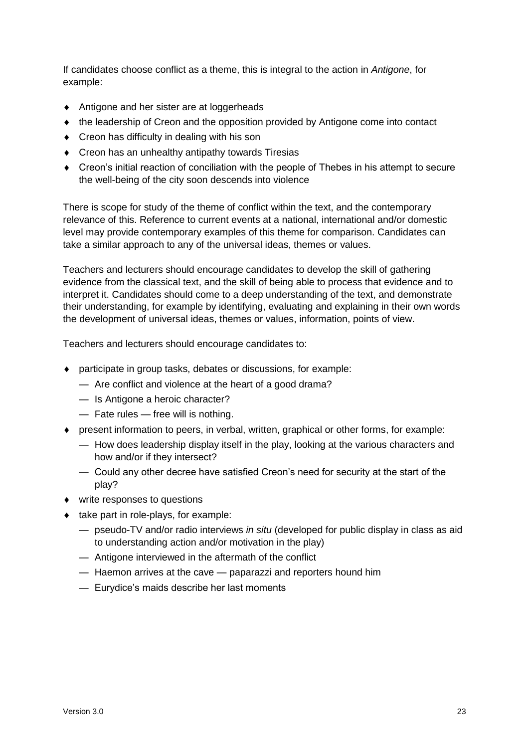If candidates choose conflict as a theme, this is integral to the action in *Antigone*, for example:

- ◆ Antigone and her sister are at loggerheads
- the leadership of Creon and the opposition provided by Antigone come into contact
- Creon has difficulty in dealing with his son
- ◆ Creon has an unhealthy antipathy towards Tiresias
- Creon's initial reaction of conciliation with the people of Thebes in his attempt to secure the well-being of the city soon descends into violence

There is scope for study of the theme of conflict within the text, and the contemporary relevance of this. Reference to current events at a national, international and/or domestic level may provide contemporary examples of this theme for comparison. Candidates can take a similar approach to any of the universal ideas, themes or values.

Teachers and lecturers should encourage candidates to develop the skill of gathering evidence from the classical text, and the skill of being able to process that evidence and to interpret it. Candidates should come to a deep understanding of the text, and demonstrate their understanding, for example by identifying, evaluating and explaining in their own words the development of universal ideas, themes or values, information, points of view.

Teachers and lecturers should encourage candidates to:

- participate in group tasks, debates or discussions, for example:
	- Are conflict and violence at the heart of a good drama?
	- Is Antigone a heroic character?
	- Fate rules free will is nothing.
- present information to peers, in verbal, written, graphical or other forms, for example:
	- How does leadership display itself in the play, looking at the various characters and how and/or if they intersect?
	- Could any other decree have satisfied Creon's need for security at the start of the play?
- write responses to questions
- $\bullet$  take part in role-plays, for example:
	- pseudo-TV and/or radio interviews *in situ* (developed for public display in class as aid to understanding action and/or motivation in the play)
	- Antigone interviewed in the aftermath of the conflict
	- Haemon arrives at the cave paparazzi and reporters hound him
	- Eurydice's maids describe her last moments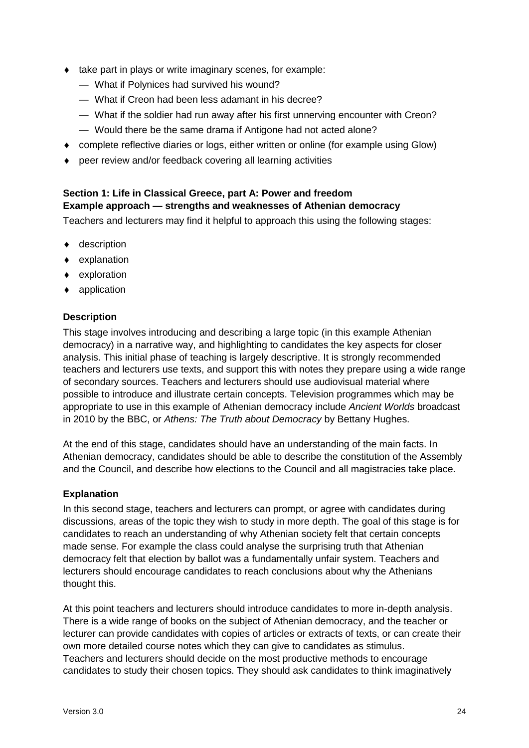- $\bullet$  take part in plays or write imaginary scenes, for example:
	- What if Polynices had survived his wound?
	- What if Creon had been less adamant in his decree?
	- What if the soldier had run away after his first unnerving encounter with Creon?
	- Would there be the same drama if Antigone had not acted alone?
- complete reflective diaries or logs, either written or online (for example using Glow)
- peer review and/or feedback covering all learning activities

# **Section 1: Life in Classical Greece, part A: Power and freedom Example approach — strengths and weaknesses of Athenian democracy**

Teachers and lecturers may find it helpful to approach this using the following stages:

- ◆ description
- explanation
- exploration
- ◆ application

# **Description**

This stage involves introducing and describing a large topic (in this example Athenian democracy) in a narrative way, and highlighting to candidates the key aspects for closer analysis. This initial phase of teaching is largely descriptive. It is strongly recommended teachers and lecturers use texts, and support this with notes they prepare using a wide range of secondary sources. Teachers and lecturers should use audiovisual material where possible to introduce and illustrate certain concepts. Television programmes which may be appropriate to use in this example of Athenian democracy include *Ancient Worlds* broadcast in 2010 by the BBC, or *Athens: The Truth about Democracy* by Bettany Hughes.

At the end of this stage, candidates should have an understanding of the main facts. In Athenian democracy, candidates should be able to describe the constitution of the Assembly and the Council, and describe how elections to the Council and all magistracies take place.

# **Explanation**

In this second stage, teachers and lecturers can prompt, or agree with candidates during discussions, areas of the topic they wish to study in more depth. The goal of this stage is for candidates to reach an understanding of why Athenian society felt that certain concepts made sense. For example the class could analyse the surprising truth that Athenian democracy felt that election by ballot was a fundamentally unfair system. Teachers and lecturers should encourage candidates to reach conclusions about why the Athenians thought this.

At this point teachers and lecturers should introduce candidates to more in-depth analysis. There is a wide range of books on the subject of Athenian democracy, and the teacher or lecturer can provide candidates with copies of articles or extracts of texts, or can create their own more detailed course notes which they can give to candidates as stimulus. Teachers and lecturers should decide on the most productive methods to encourage candidates to study their chosen topics. They should ask candidates to think imaginatively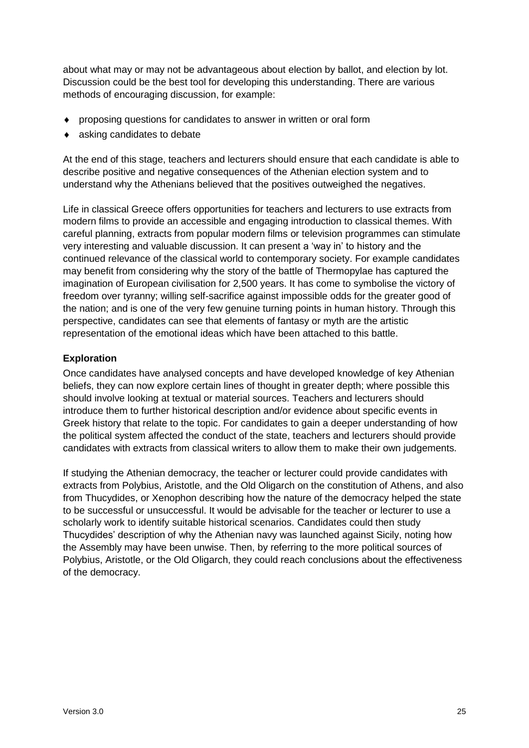about what may or may not be advantageous about election by ballot, and election by lot. Discussion could be the best tool for developing this understanding. There are various methods of encouraging discussion, for example:

- proposing questions for candidates to answer in written or oral form
- asking candidates to debate

At the end of this stage, teachers and lecturers should ensure that each candidate is able to describe positive and negative consequences of the Athenian election system and to understand why the Athenians believed that the positives outweighed the negatives.

Life in classical Greece offers opportunities for teachers and lecturers to use extracts from modern films to provide an accessible and engaging introduction to classical themes. With careful planning, extracts from popular modern films or television programmes can stimulate very interesting and valuable discussion. It can present a 'way in' to history and the continued relevance of the classical world to contemporary society. For example candidates may benefit from considering why the story of the battle of Thermopylae has captured the imagination of European civilisation for 2,500 years. It has come to symbolise the victory of freedom over tyranny; willing self-sacrifice against impossible odds for the greater good of the nation; and is one of the very few genuine turning points in human history. Through this perspective, candidates can see that elements of fantasy or myth are the artistic representation of the emotional ideas which have been attached to this battle.

# **Exploration**

Once candidates have analysed concepts and have developed knowledge of key Athenian beliefs, they can now explore certain lines of thought in greater depth; where possible this should involve looking at textual or material sources. Teachers and lecturers should introduce them to further historical description and/or evidence about specific events in Greek history that relate to the topic. For candidates to gain a deeper understanding of how the political system affected the conduct of the state, teachers and lecturers should provide candidates with extracts from classical writers to allow them to make their own judgements.

If studying the Athenian democracy, the teacher or lecturer could provide candidates with extracts from Polybius, Aristotle, and the Old Oligarch on the constitution of Athens, and also from Thucydides, or Xenophon describing how the nature of the democracy helped the state to be successful or unsuccessful. It would be advisable for the teacher or lecturer to use a scholarly work to identify suitable historical scenarios. Candidates could then study Thucydides' description of why the Athenian navy was launched against Sicily, noting how the Assembly may have been unwise. Then, by referring to the more political sources of Polybius, Aristotle, or the Old Oligarch, they could reach conclusions about the effectiveness of the democracy.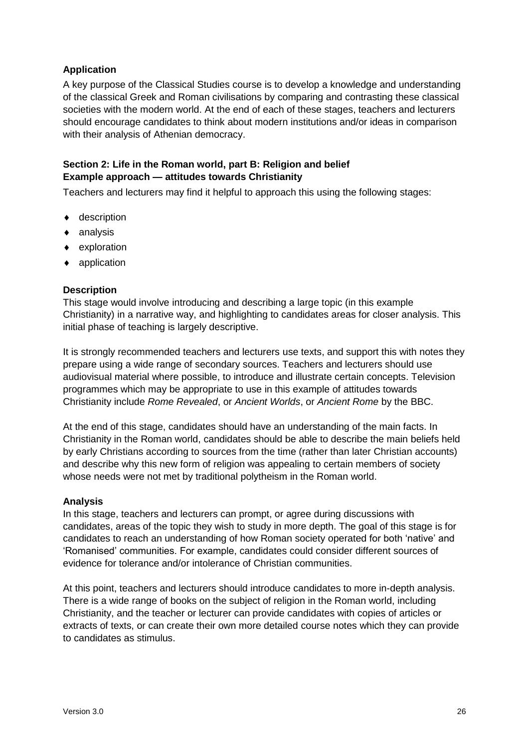# **Application**

A key purpose of the Classical Studies course is to develop a knowledge and understanding of the classical Greek and Roman civilisations by comparing and contrasting these classical societies with the modern world. At the end of each of these stages, teachers and lecturers should encourage candidates to think about modern institutions and/or ideas in comparison with their analysis of Athenian democracy.

# **Section 2: Life in the Roman world, part B: Religion and belief Example approach — attitudes towards Christianity**

Teachers and lecturers may find it helpful to approach this using the following stages:

- ◆ description
- analysis
- $\bullet$  exploration
- ◆ application

# **Description**

This stage would involve introducing and describing a large topic (in this example Christianity) in a narrative way, and highlighting to candidates areas for closer analysis. This initial phase of teaching is largely descriptive.

It is strongly recommended teachers and lecturers use texts, and support this with notes they prepare using a wide range of secondary sources. Teachers and lecturers should use audiovisual material where possible, to introduce and illustrate certain concepts. Television programmes which may be appropriate to use in this example of attitudes towards Christianity include *Rome Revealed*, or *Ancient Worlds*, or *Ancient Rome* by the BBC.

At the end of this stage, candidates should have an understanding of the main facts. In Christianity in the Roman world, candidates should be able to describe the main beliefs held by early Christians according to sources from the time (rather than later Christian accounts) and describe why this new form of religion was appealing to certain members of society whose needs were not met by traditional polytheism in the Roman world.

# **Analysis**

In this stage, teachers and lecturers can prompt, or agree during discussions with candidates, areas of the topic they wish to study in more depth. The goal of this stage is for candidates to reach an understanding of how Roman society operated for both 'native' and 'Romanised' communities. For example, candidates could consider different sources of evidence for tolerance and/or intolerance of Christian communities.

At this point, teachers and lecturers should introduce candidates to more in-depth analysis. There is a wide range of books on the subject of religion in the Roman world, including Christianity, and the teacher or lecturer can provide candidates with copies of articles or extracts of texts, or can create their own more detailed course notes which they can provide to candidates as stimulus.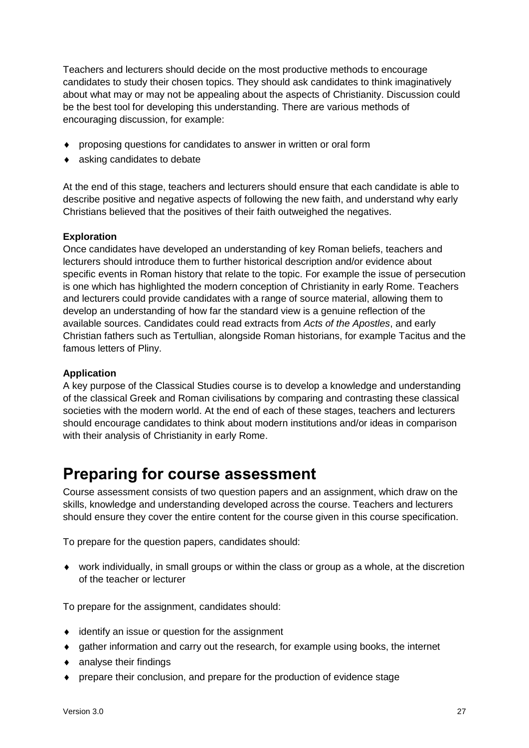Teachers and lecturers should decide on the most productive methods to encourage candidates to study their chosen topics. They should ask candidates to think imaginatively about what may or may not be appealing about the aspects of Christianity. Discussion could be the best tool for developing this understanding. There are various methods of encouraging discussion, for example:

- proposing questions for candidates to answer in written or oral form
- asking candidates to debate

At the end of this stage, teachers and lecturers should ensure that each candidate is able to describe positive and negative aspects of following the new faith, and understand why early Christians believed that the positives of their faith outweighed the negatives.

# **Exploration**

Once candidates have developed an understanding of key Roman beliefs, teachers and lecturers should introduce them to further historical description and/or evidence about specific events in Roman history that relate to the topic. For example the issue of persecution is one which has highlighted the modern conception of Christianity in early Rome. Teachers and lecturers could provide candidates with a range of source material, allowing them to develop an understanding of how far the standard view is a genuine reflection of the available sources. Candidates could read extracts from *Acts of the Apostles*, and early Christian fathers such as Tertullian, alongside Roman historians, for example Tacitus and the famous letters of Pliny.

# **Application**

A key purpose of the Classical Studies course is to develop a knowledge and understanding of the classical Greek and Roman civilisations by comparing and contrasting these classical societies with the modern world. At the end of each of these stages, teachers and lecturers should encourage candidates to think about modern institutions and/or ideas in comparison with their analysis of Christianity in early Rome.

# <span id="page-28-0"></span>**Preparing for course assessment**

Course assessment consists of two question papers and an assignment, which draw on the skills, knowledge and understanding developed across the course. Teachers and lecturers should ensure they cover the entire content for the course given in this course specification.

To prepare for the question papers, candidates should:

 work individually, in small groups or within the class or group as a whole, at the discretion of the teacher or lecturer

To prepare for the assignment, candidates should:

- ◆ identify an issue or question for the assignment
- gather information and carry out the research, for example using books, the internet
- analyse their findings
- prepare their conclusion, and prepare for the production of evidence stage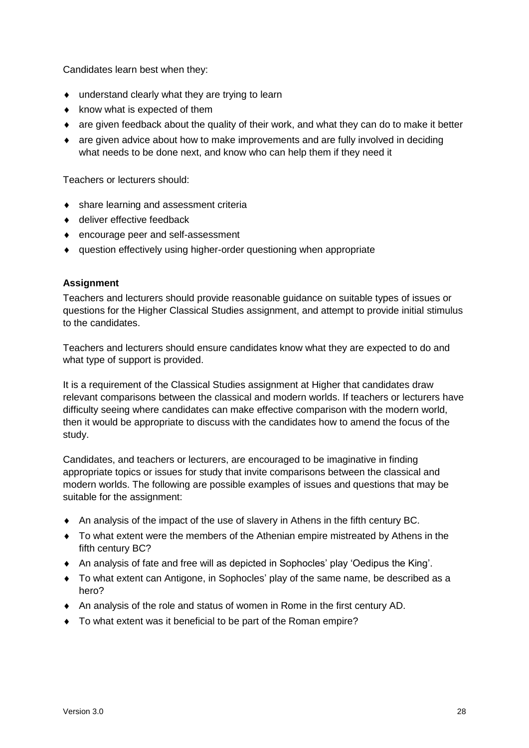Candidates learn best when they:

- understand clearly what they are trying to learn
- $\bullet$  know what is expected of them
- are given feedback about the quality of their work, and what they can do to make it better
- are given advice about how to make improvements and are fully involved in deciding what needs to be done next, and know who can help them if they need it

Teachers or lecturers should:

- share learning and assessment criteria
- ◆ deliver effective feedback
- encourage peer and self-assessment
- question effectively using higher-order questioning when appropriate

# **Assignment**

Teachers and lecturers should provide reasonable guidance on suitable types of issues or questions for the Higher Classical Studies assignment, and attempt to provide initial stimulus to the candidates.

Teachers and lecturers should ensure candidates know what they are expected to do and what type of support is provided.

It is a requirement of the Classical Studies assignment at Higher that candidates draw relevant comparisons between the classical and modern worlds. If teachers or lecturers have difficulty seeing where candidates can make effective comparison with the modern world, then it would be appropriate to discuss with the candidates how to amend the focus of the study.

Candidates, and teachers or lecturers, are encouraged to be imaginative in finding appropriate topics or issues for study that invite comparisons between the classical and modern worlds. The following are possible examples of issues and questions that may be suitable for the assignment:

- An analysis of the impact of the use of slavery in Athens in the fifth century BC.
- To what extent were the members of the Athenian empire mistreated by Athens in the fifth century BC?
- An analysis of fate and free will as depicted in Sophocles' play 'Oedipus the King'.
- To what extent can Antigone, in Sophocles' play of the same name, be described as a hero?
- An analysis of the role and status of women in Rome in the first century AD.
- To what extent was it beneficial to be part of the Roman empire?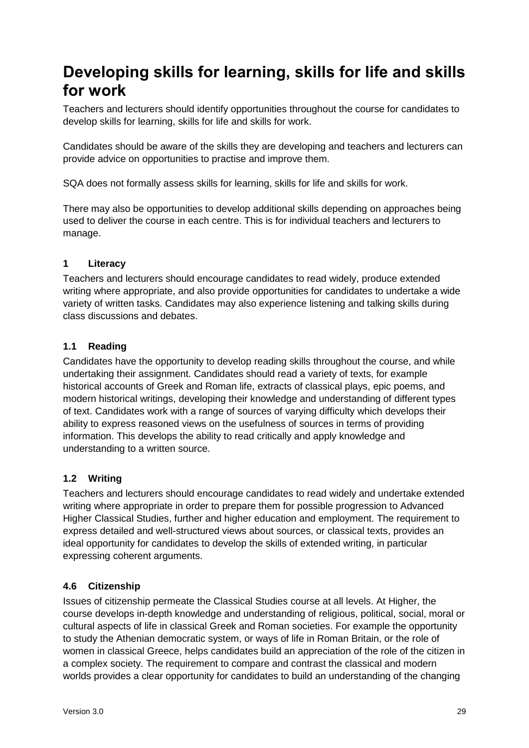# <span id="page-30-0"></span>**Developing skills for learning, skills for life and skills for work**

Teachers and lecturers should identify opportunities throughout the course for candidates to develop skills for learning, skills for life and skills for work.

Candidates should be aware of the skills they are developing and teachers and lecturers can provide advice on opportunities to practise and improve them.

SQA does not formally assess skills for learning, skills for life and skills for work.

There may also be opportunities to develop additional skills depending on approaches being used to deliver the course in each centre. This is for individual teachers and lecturers to manage.

# **1 Literacy**

Teachers and lecturers should encourage candidates to read widely, produce extended writing where appropriate, and also provide opportunities for candidates to undertake a wide variety of written tasks. Candidates may also experience listening and talking skills during class discussions and debates.

# **1.1 Reading**

Candidates have the opportunity to develop reading skills throughout the course, and while undertaking their assignment. Candidates should read a variety of texts, for example historical accounts of Greek and Roman life, extracts of classical plays, epic poems, and modern historical writings, developing their knowledge and understanding of different types of text. Candidates work with a range of sources of varying difficulty which develops their ability to express reasoned views on the usefulness of sources in terms of providing information. This develops the ability to read critically and apply knowledge and understanding to a written source.

# **1.2 Writing**

Teachers and lecturers should encourage candidates to read widely and undertake extended writing where appropriate in order to prepare them for possible progression to Advanced Higher Classical Studies, further and higher education and employment. The requirement to express detailed and well-structured views about sources, or classical texts, provides an ideal opportunity for candidates to develop the skills of extended writing, in particular expressing coherent arguments.

# **4.6 Citizenship**

Issues of citizenship permeate the Classical Studies course at all levels. At Higher, the course develops in-depth knowledge and understanding of religious, political, social, moral or cultural aspects of life in classical Greek and Roman societies. For example the opportunity to study the Athenian democratic system, or ways of life in Roman Britain, or the role of women in classical Greece, helps candidates build an appreciation of the role of the citizen in a complex society. The requirement to compare and contrast the classical and modern worlds provides a clear opportunity for candidates to build an understanding of the changing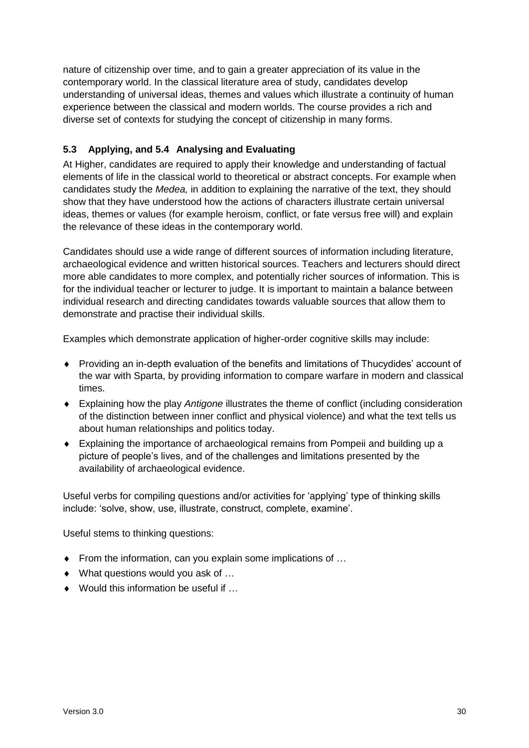nature of citizenship over time, and to gain a greater appreciation of its value in the contemporary world. In the classical literature area of study, candidates develop understanding of universal ideas, themes and values which illustrate a continuity of human experience between the classical and modern worlds. The course provides a rich and diverse set of contexts for studying the concept of citizenship in many forms.

# **5.3 Applying, and 5.4 Analysing and Evaluating**

At Higher, candidates are required to apply their knowledge and understanding of factual elements of life in the classical world to theoretical or abstract concepts. For example when candidates study the *Medea,* in addition to explaining the narrative of the text, they should show that they have understood how the actions of characters illustrate certain universal ideas, themes or values (for example heroism, conflict, or fate versus free will) and explain the relevance of these ideas in the contemporary world.

Candidates should use a wide range of different sources of information including literature, archaeological evidence and written historical sources. Teachers and lecturers should direct more able candidates to more complex, and potentially richer sources of information. This is for the individual teacher or lecturer to judge. It is important to maintain a balance between individual research and directing candidates towards valuable sources that allow them to demonstrate and practise their individual skills.

Examples which demonstrate application of higher-order cognitive skills may include:

- Providing an in-depth evaluation of the benefits and limitations of Thucydides' account of the war with Sparta, by providing information to compare warfare in modern and classical times.
- Explaining how the play *Antigone* illustrates the theme of conflict (including consideration of the distinction between inner conflict and physical violence) and what the text tells us about human relationships and politics today.
- Explaining the importance of archaeological remains from Pompeii and building up a picture of people's lives, and of the challenges and limitations presented by the availability of archaeological evidence.

Useful verbs for compiling questions and/or activities for 'applying' type of thinking skills include: 'solve, show, use, illustrate, construct, complete, examine'.

Useful stems to thinking questions:

- ◆ From the information, can you explain some implications of ...
- ◆ What questions would you ask of ...
- ◆ Would this information be useful if ...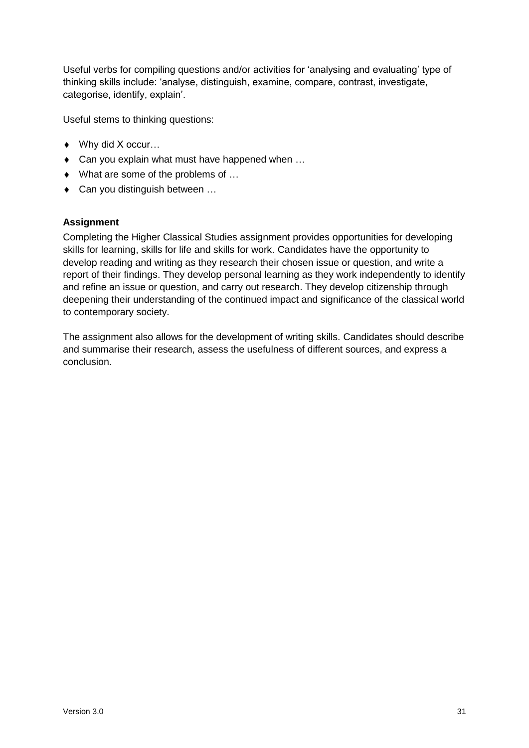Useful verbs for compiling questions and/or activities for 'analysing and evaluating' type of thinking skills include: 'analyse, distinguish, examine, compare, contrast, investigate, categorise, identify, explain'.

Useful stems to thinking questions:

- ◆ Why did X occur...
- ◆ Can you explain what must have happened when ...
- ◆ What are some of the problems of ...
- ◆ Can you distinguish between ...

# **Assignment**

Completing the Higher Classical Studies assignment provides opportunities for developing skills for learning, skills for life and skills for work. Candidates have the opportunity to develop reading and writing as they research their chosen issue or question, and write a report of their findings. They develop personal learning as they work independently to identify and refine an issue or question, and carry out research. They develop citizenship through deepening their understanding of the continued impact and significance of the classical world to contemporary society.

The assignment also allows for the development of writing skills. Candidates should describe and summarise their research, assess the usefulness of different sources, and express a conclusion.